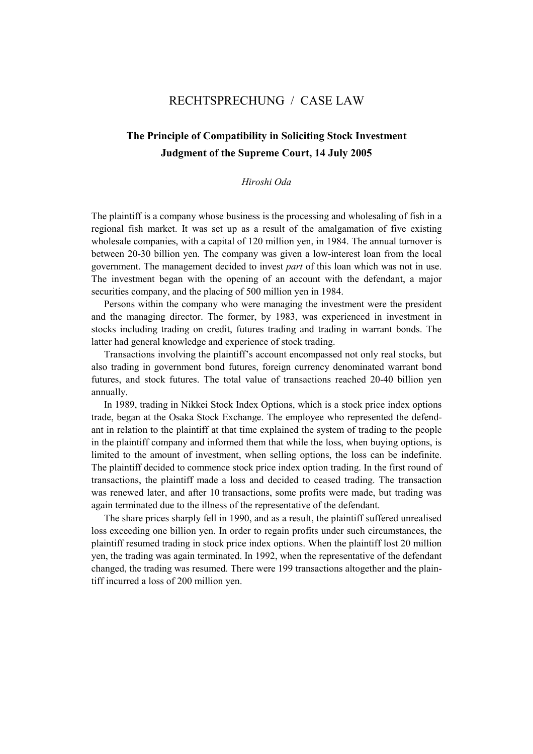## RECHTSPRECHUNG / CASE LAW

## **The Principle of Compatibility in Soliciting Stock Investment Judgment of the Supreme Court, 14 July 2005**

## *Hiroshi Oda*

The plaintiff is a company whose business is the processing and wholesaling of fish in a regional fish market. It was set up as a result of the amalgamation of five existing wholesale companies, with a capital of 120 million yen, in 1984. The annual turnover is between 20-30 billion yen. The company was given a low-interest loan from the local government. The management decided to invest *part* of this loan which was not in use. The investment began with the opening of an account with the defendant, a major securities company, and the placing of 500 million yen in 1984.

Persons within the company who were managing the investment were the president and the managing director. The former, by 1983, was experienced in investment in stocks including trading on credit, futures trading and trading in warrant bonds. The latter had general knowledge and experience of stock trading.

Transactions involving the plaintiff's account encompassed not only real stocks, but also trading in government bond futures, foreign currency denominated warrant bond futures, and stock futures. The total value of transactions reached 20-40 billion yen annually.

In 1989, trading in Nikkei Stock Index Options, which is a stock price index options trade, began at the Osaka Stock Exchange. The employee who represented the defendant in relation to the plaintiff at that time explained the system of trading to the people in the plaintiff company and informed them that while the loss, when buying options, is limited to the amount of investment, when selling options, the loss can be indefinite. The plaintiff decided to commence stock price index option trading. In the first round of transactions, the plaintiff made a loss and decided to ceased trading. The transaction was renewed later, and after 10 transactions, some profits were made, but trading was again terminated due to the illness of the representative of the defendant.

The share prices sharply fell in 1990, and as a result, the plaintiff suffered unrealised loss exceeding one billion yen. In order to regain profits under such circumstances, the plaintiff resumed trading in stock price index options. When the plaintiff lost 20 million yen, the trading was again terminated. In 1992, when the representative of the defendant changed, the trading was resumed. There were 199 transactions altogether and the plaintiff incurred a loss of 200 million yen.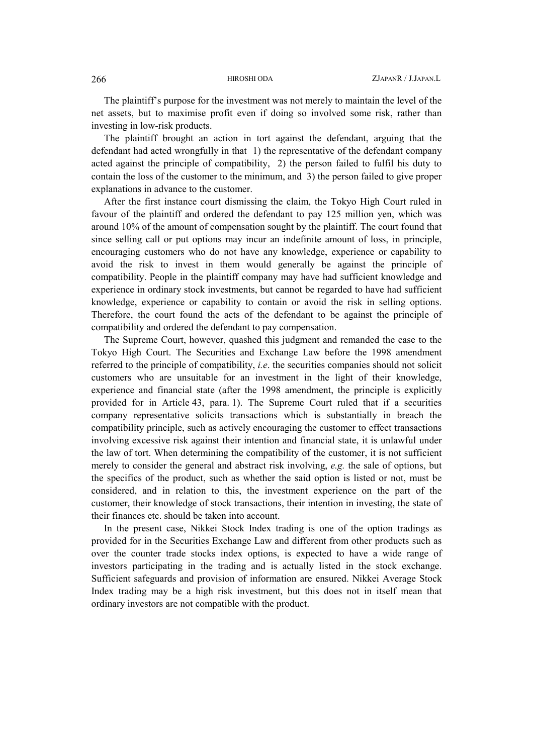The plaintiff's purpose for the investment was not merely to maintain the level of the net assets, but to maximise profit even if doing so involved some risk, rather than investing in low-risk products.

The plaintiff brought an action in tort against the defendant, arguing that the defendant had acted wrongfully in that 1) the representative of the defendant company acted against the principle of compatibility, 2) the person failed to fulfil his duty to contain the loss of the customer to the minimum, and 3) the person failed to give proper explanations in advance to the customer.

After the first instance court dismissing the claim, the Tokyo High Court ruled in favour of the plaintiff and ordered the defendant to pay 125 million yen, which was around 10% of the amount of compensation sought by the plaintiff. The court found that since selling call or put options may incur an indefinite amount of loss, in principle, encouraging customers who do not have any knowledge, experience or capability to avoid the risk to invest in them would generally be against the principle of compatibility. People in the plaintiff company may have had sufficient knowledge and experience in ordinary stock investments, but cannot be regarded to have had sufficient knowledge, experience or capability to contain or avoid the risk in selling options. Therefore, the court found the acts of the defendant to be against the principle of compatibility and ordered the defendant to pay compensation.

The Supreme Court, however, quashed this judgment and remanded the case to the Tokyo High Court. The Securities and Exchange Law before the 1998 amendment referred to the principle of compatibility, *i.e*. the securities companies should not solicit customers who are unsuitable for an investment in the light of their knowledge, experience and financial state (after the 1998 amendment, the principle is explicitly provided for in Article 43, para. 1). The Supreme Court ruled that if a securities company representative solicits transactions which is substantially in breach the compatibility principle, such as actively encouraging the customer to effect transactions involving excessive risk against their intention and financial state, it is unlawful under the law of tort. When determining the compatibility of the customer, it is not sufficient merely to consider the general and abstract risk involving, *e.g.* the sale of options, but the specifics of the product, such as whether the said option is listed or not, must be considered, and in relation to this, the investment experience on the part of the customer, their knowledge of stock transactions, their intention in investing, the state of their finances etc. should be taken into account.

In the present case, Nikkei Stock Index trading is one of the option tradings as provided for in the Securities Exchange Law and different from other products such as over the counter trade stocks index options, is expected to have a wide range of investors participating in the trading and is actually listed in the stock exchange. Sufficient safeguards and provision of information are ensured. Nikkei Average Stock Index trading may be a high risk investment, but this does not in itself mean that ordinary investors are not compatible with the product.